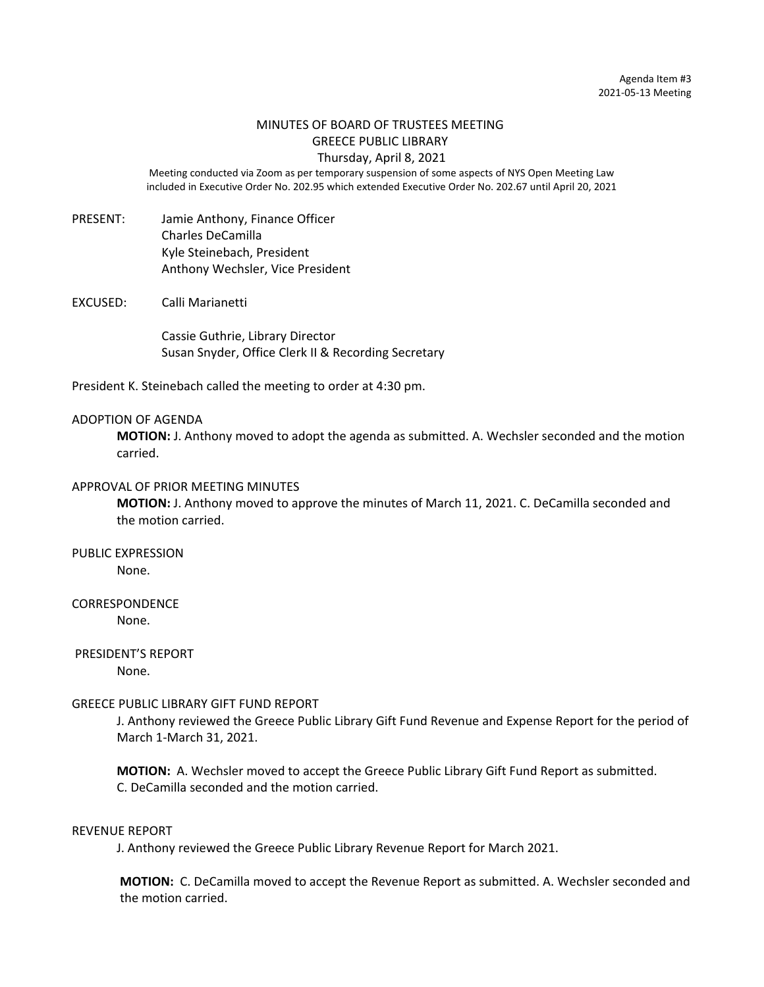# MINUTES OF BOARD OF TRUSTEES MEETING GREECE PUBLIC LIBRARY

Thursday, April 8, 2021 Meeting conducted via Zoom as per temporary suspension of some aspects of NYS Open Meeting Law

included in Executive Order No. 202.95 which extended Executive Order No. 202.67 until April 20, 2021

- PRESENT: Jamie Anthony, Finance Officer Charles DeCamilla Kyle Steinebach, President Anthony Wechsler, Vice President
- EXCUSED: Calli Marianetti

Cassie Guthrie, Library Director Susan Snyder, Office Clerk II & Recording Secretary

President K. Steinebach called the meeting to order at 4:30 pm.

#### ADOPTION OF AGENDA

**MOTION:** J. Anthony moved to adopt the agenda as submitted. A. Wechsler seconded and the motion carried.

## APPROVAL OF PRIOR MEETING MINUTES

**MOTION:** J. Anthony moved to approve the minutes of March 11, 2021. C. DeCamilla seconded and the motion carried.

## PUBLIC EXPRESSION

None.

## CORRESPONDENCE

None.

## PRESIDENT'S REPORT

None.

#### GREECE PUBLIC LIBRARY GIFT FUND REPORT

J. Anthony reviewed the Greece Public Library Gift Fund Revenue and Expense Report for the period of March 1-March 31, 2021.

**MOTION:** A. Wechsler moved to accept the Greece Public Library Gift Fund Report as submitted. C. DeCamilla seconded and the motion carried.

#### REVENUE REPORT

J. Anthony reviewed the Greece Public Library Revenue Report for March 2021.

**MOTION:** C. DeCamilla moved to accept the Revenue Report as submitted. A. Wechsler seconded and the motion carried.